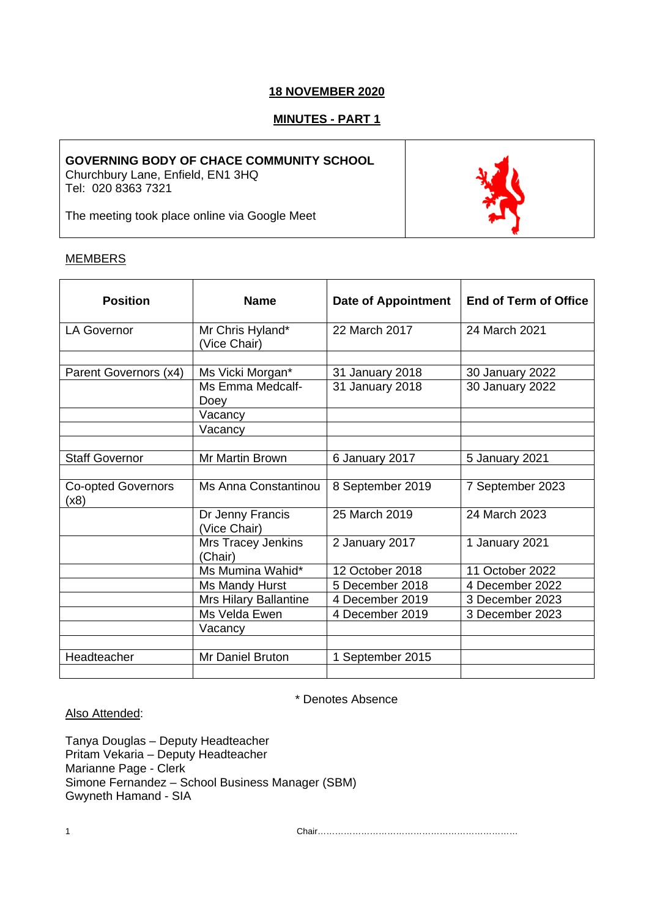# **18 NOVEMBER 2020**

# **MINUTES - PART 1**

## **GOVERNING BODY OF CHACE COMMUNITY SCHOOL**

Churchbury Lane, Enfield, EN1 3HQ Tel: 020 8363 7321

The meeting took place online via Google Meet

## **MEMBERS**

| <b>Position</b>                   | <b>Name</b>                      | <b>Date of Appointment</b> | <b>End of Term of Office</b> |
|-----------------------------------|----------------------------------|----------------------------|------------------------------|
| <b>LA Governor</b>                | Mr Chris Hyland*<br>(Vice Chair) | 22 March 2017              | 24 March 2021                |
|                                   |                                  |                            |                              |
| Parent Governors (x4)             | Ms Vicki Morgan*                 | 31 January 2018            | 30 January 2022              |
|                                   | Ms Emma Medcalf-<br>Doey         | 31 January 2018            | 30 January 2022              |
|                                   | Vacancy                          |                            |                              |
|                                   | Vacancy                          |                            |                              |
|                                   |                                  |                            |                              |
| <b>Staff Governor</b>             | <b>Mr Martin Brown</b>           | 6 January 2017             | 5 January 2021               |
|                                   |                                  |                            |                              |
| <b>Co-opted Governors</b><br>(x8) | Ms Anna Constantinou             | 8 September 2019           | 7 September 2023             |
|                                   | Dr Jenny Francis<br>(Vice Chair) | 25 March 2019              | 24 March 2023                |
|                                   | Mrs Tracey Jenkins<br>(Chair)    | 2 January 2017             | 1 January 2021               |
|                                   | Ms Mumina Wahid*                 | 12 October 2018            | 11 October 2022              |
|                                   | Ms Mandy Hurst                   | 5 December 2018            | 4 December 2022              |
|                                   | Mrs Hilary Ballantine            | 4 December 2019            | 3 December 2023              |
|                                   | Ms Velda Ewen                    | 4 December 2019            | 3 December 2023              |
|                                   | Vacancy                          |                            |                              |
|                                   |                                  |                            |                              |
| Headteacher                       | Mr Daniel Bruton                 | 1 September 2015           |                              |

\* Denotes Absence

## Also Attended:

Tanya Douglas – Deputy Headteacher Pritam Vekaria – Deputy Headteacher Marianne Page - Clerk Simone Fernandez – School Business Manager (SBM) Gwyneth Hamand - SIA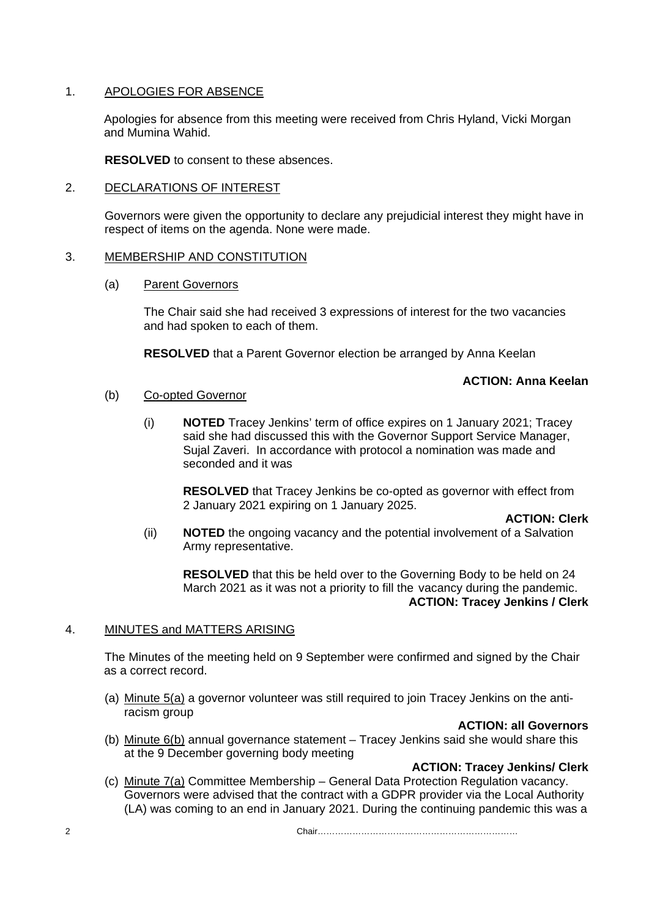# 1. APOLOGIES FOR ABSENCE

Apologies for absence from this meeting were received from Chris Hyland, Vicki Morgan and Mumina Wahid.

**RESOLVED** to consent to these absences.

# 2. DECLARATIONS OF INTEREST

Governors were given the opportunity to declare any prejudicial interest they might have in respect of items on the agenda. None were made.

## 3. MEMBERSHIP AND CONSTITUTION

(a) Parent Governors

The Chair said she had received 3 expressions of interest for the two vacancies and had spoken to each of them.

**RESOLVED** that a Parent Governor election be arranged by Anna Keelan

# **ACTION: Anna Keelan**

## (b) Co-opted Governor

(i) **NOTED** Tracey Jenkins' term of office expires on 1 January 2021; Tracey said she had discussed this with the Governor Support Service Manager, Sujal Zaveri. In accordance with protocol a nomination was made and seconded and it was

**RESOLVED** that Tracey Jenkins be co-opted as governor with effect from 2 January 2021 expiring on 1 January 2025.

**ACTION: Clerk**

(ii) **NOTED** the ongoing vacancy and the potential involvement of a Salvation Army representative.

**RESOLVED** that this be held over to the Governing Body to be held on 24 March 2021 as it was not a priority to fill the vacancy during the pandemic. **ACTION: Tracey Jenkins / Clerk**

# 4. MINUTES and MATTERS ARISING

The Minutes of the meeting held on 9 September were confirmed and signed by the Chair as a correct record.

(a) Minute 5(a) a governor volunteer was still required to join Tracey Jenkins on the antiracism group

# **ACTION: all Governors**

(b) Minute 6(b) annual governance statement – Tracey Jenkins said she would share this at the 9 December governing body meeting

# **ACTION: Tracey Jenkins/ Clerk**

(c) Minute 7(a) Committee Membership – General Data Protection Regulation vacancy. Governors were advised that the contract with a GDPR provider via the Local Authority (LA) was coming to an end in January 2021. During the continuing pandemic this was a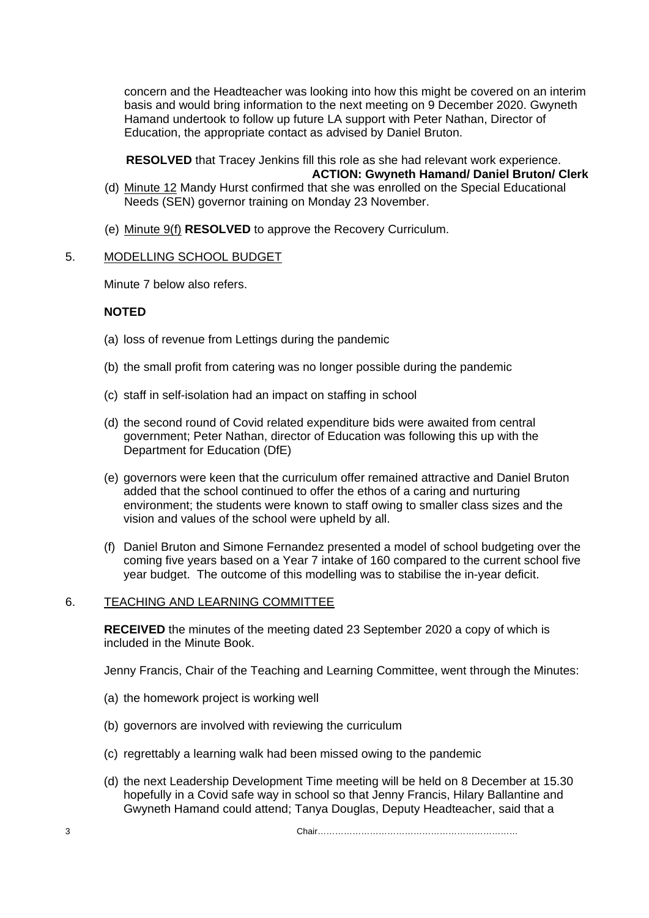concern and the Headteacher was looking into how this might be covered on an interim basis and would bring information to the next meeting on 9 December 2020. Gwyneth Hamand undertook to follow up future LA support with Peter Nathan, Director of Education, the appropriate contact as advised by Daniel Bruton.

 **RESOLVED** that Tracey Jenkins fill this role as she had relevant work experience. **ACTION: Gwyneth Hamand/ Daniel Bruton/ Clerk**

- (d) Minute 12 Mandy Hurst confirmed that she was enrolled on the Special Educational Needs (SEN) governor training on Monday 23 November.
- (e) Minute 9(f) **RESOLVED** to approve the Recovery Curriculum.

## 5. MODELLING SCHOOL BUDGET

Minute 7 below also refers.

# **NOTED**

- (a) loss of revenue from Lettings during the pandemic
- (b) the small profit from catering was no longer possible during the pandemic
- (c) staff in self-isolation had an impact on staffing in school
- (d) the second round of Covid related expenditure bids were awaited from central government; Peter Nathan, director of Education was following this up with the Department for Education (DfE)
- (e) governors were keen that the curriculum offer remained attractive and Daniel Bruton added that the school continued to offer the ethos of a caring and nurturing environment; the students were known to staff owing to smaller class sizes and the vision and values of the school were upheld by all.
- (f) Daniel Bruton and Simone Fernandez presented a model of school budgeting over the coming five years based on a Year 7 intake of 160 compared to the current school five year budget. The outcome of this modelling was to stabilise the in-year deficit.

### 6. TEACHING AND LEARNING COMMITTEE

**RECEIVED** the minutes of the meeting dated 23 September 2020 a copy of which is included in the Minute Book.

Jenny Francis, Chair of the Teaching and Learning Committee, went through the Minutes:

- (a) the homework project is working well
- (b) governors are involved with reviewing the curriculum
- (c) regrettably a learning walk had been missed owing to the pandemic
- (d) the next Leadership Development Time meeting will be held on 8 December at 15.30 hopefully in a Covid safe way in school so that Jenny Francis, Hilary Ballantine and Gwyneth Hamand could attend; Tanya Douglas, Deputy Headteacher, said that a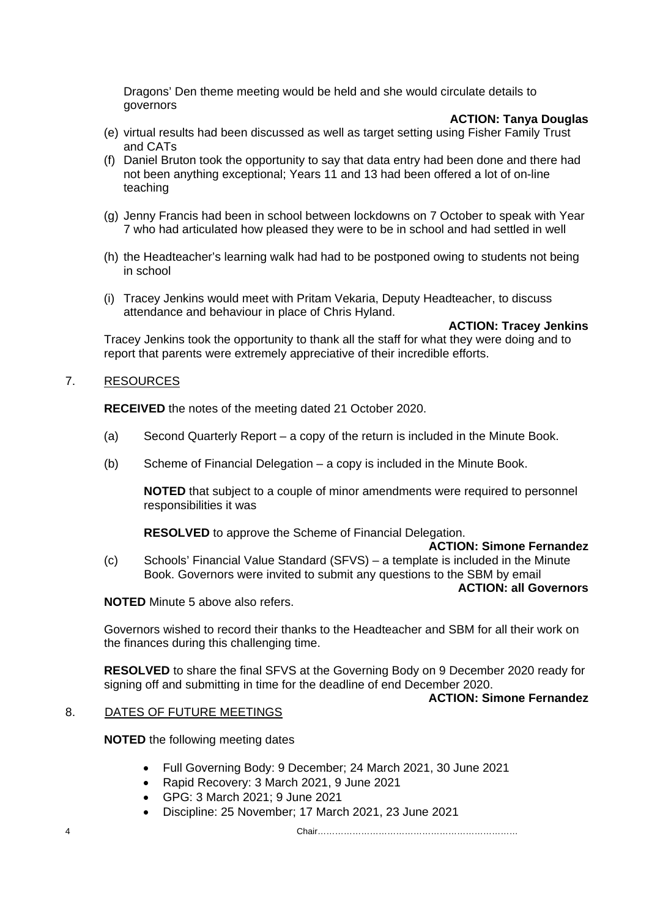Dragons' Den theme meeting would be held and she would circulate details to governors

#### **ACTION: Tanya Douglas**

- (e) virtual results had been discussed as well as target setting using Fisher Family Trust and CATs
- (f) Daniel Bruton took the opportunity to say that data entry had been done and there had not been anything exceptional; Years 11 and 13 had been offered a lot of on-line teaching
- (g) Jenny Francis had been in school between lockdowns on 7 October to speak with Year 7 who had articulated how pleased they were to be in school and had settled in well
- (h) the Headteacher's learning walk had had to be postponed owing to students not being in school
- (i) Tracey Jenkins would meet with Pritam Vekaria, Deputy Headteacher, to discuss attendance and behaviour in place of Chris Hyland.

**ACTION: Tracey Jenkins**

Tracey Jenkins took the opportunity to thank all the staff for what they were doing and to report that parents were extremely appreciative of their incredible efforts.

#### 7. RESOURCES

**RECEIVED** the notes of the meeting dated 21 October 2020.

- (a) Second Quarterly Report a copy of the return is included in the Minute Book.
- (b) Scheme of Financial Delegation a copy is included in the Minute Book.

**NOTED** that subject to a couple of minor amendments were required to personnel responsibilities it was

**RESOLVED** to approve the Scheme of Financial Delegation.

#### **ACTION: Simone Fernandez**

(c) Schools' Financial Value Standard (SFVS) – a template is included in the Minute Book. Governors were invited to submit any questions to the SBM by email

#### **ACTION: all Governors**

**NOTED** Minute 5 above also refers.

Governors wished to record their thanks to the Headteacher and SBM for all their work on the finances during this challenging time.

**RESOLVED** to share the final SFVS at the Governing Body on 9 December 2020 ready for signing off and submitting in time for the deadline of end December 2020.

#### **ACTION: Simone Fernandez**

### 8. DATES OF FUTURE MEETINGS

**NOTED** the following meeting dates

- Full Governing Body: 9 December; 24 March 2021, 30 June 2021
- Rapid Recovery: 3 March 2021, 9 June 2021
- GPG: 3 March 2021; 9 June 2021
- Discipline: 25 November; 17 March 2021, 23 June 2021